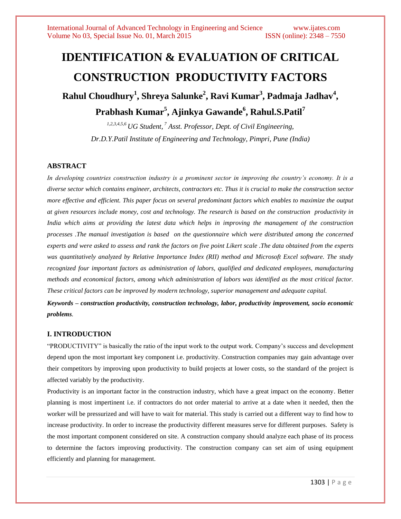# **IDENTIFICATION & EVALUATION OF CRITICAL CONSTRUCTION PRODUCTIVITY FACTORS**

**Rahul Choudhury<sup>1</sup> , Shreya Salunke<sup>2</sup> , Ravi Kumar<sup>3</sup> , Padmaja Jadhav<sup>4</sup> , Prabhash Kumar<sup>5</sup> , Ajinkya Gawande<sup>6</sup> , Rahul.S.Patil<sup>7</sup>**

> *1,2,3,4,5,6 UG Student, <sup>7</sup> Asst. Professor, Dept. of Civil Engineering, Dr.D.Y.Patil Institute of Engineering and Technology, Pimpri, Pune (India)*

## **ABSTRACT**

*In developing countries construction industry is a prominent sector in improving the country's economy. It is a diverse sector which contains engineer, architects, contractors etc. Thus it is crucial to make the construction sector more effective and efficient. This paper focus on several predominant factors which enables to maximize the output at given resources include money, cost and technology. The research is based on the construction productivity in India which aims at providing the latest data which helps in improving the management of the construction processes .The manual investigation is based on the questionnaire which were distributed among the concerned experts and were asked to assess and rank the factors on five point Likert scale .The data obtained from the experts was quantitatively analyzed by Relative Importance Index (RII) method and Microsoft Excel software. The study recognized four important factors as administration of labors, qualified and dedicated employees, manufacturing methods and economical factors, among which administration of labors was identified as the most critical factor. These critical factors can be improved by modern technology, superior management and adequate capital.*

*Keywords – construction productivity, construction technology, labor, productivity improvement, socio economic problems.*

### **I. INTRODUCTION**

"PRODUCTIVITY" is basically the ratio of the input work to the output work. Company's success and development depend upon the most important key component i.e. productivity. Construction companies may gain advantage over their competitors by improving upon productivity to build projects at lower costs, so the standard of the project is affected variably by the productivity.

Productivity is an important factor in the construction industry, which have a great impact on the economy. Better planning is most impertinent i.e. if contractors do not order material to arrive at a date when it needed, then the worker will be pressurized and will have to wait for material. This study is carried out a different way to find how to increase productivity. In order to increase the productivity different measures serve for different purposes. Safety is the most important component considered on site. A construction company should analyze each phase of its process to determine the factors improving productivity. The construction company can set aim of using equipment efficiently and planning for management.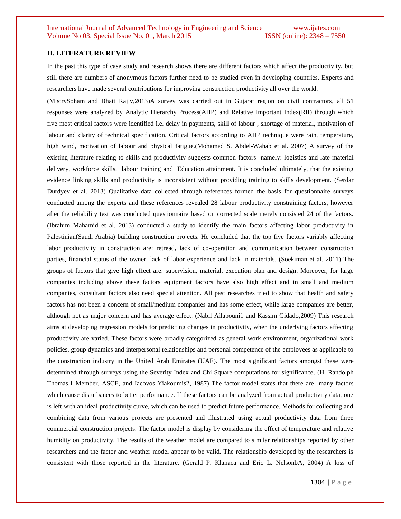#### **II. LITERATURE REVIEW**

In the past this type of case study and research shows there are different factors which affect the productivity, but still there are numbers of anonymous factors further need to be studied even in developing countries. Experts and researchers have made several contributions for improving construction productivity all over the world.

(MistrySoham and Bhatt Rajiv,2013)A survey was carried out in Gujarat region on civil contractors, all 51 responses were analyzed by Analytic Hierarchy Process(AHP) and Relative Important Index(RII) through which five most critical factors were identified i.e. delay in payments, skill of labour , shortage of material, motivation of labour and clarity of technical specification. Critical factors according to AHP technique were rain, temperature, high wind, motivation of labour and physical fatigue.(Mohamed S. Abdel-Wahab et al. 2007) A survey of the existing literature relating to skills and productivity suggests common factors namely: logistics and late material delivery, workforce skills, labour training and Education attainment. It is concluded ultimately, that the existing evidence linking skills and productivity is inconsistent without providing training to skills development. (Serdar Durdyev et al. 2013) Qualitative data collected through references formed the basis for questionnaire surveys conducted among the experts and these references revealed 28 labour productivity constraining factors, however after the reliability test was conducted questionnaire based on corrected scale merely consisted 24 of the factors. (Ibrahim Mahamid et al. 2013) conducted a study to identify the main factors affecting labor productivity in Palestinian(Saudi Arabia) building construction projects. He concluded that the top five factors variably affecting labor productivity in construction are: retread, lack of co-operation and communication between construction parties, financial status of the owner, lack of labor experience and lack in materials. (Soekiman et al. 2011) The groups of factors that give high effect are: supervision, material, execution plan and design. Moreover, for large companies including above these factors equipment factors have also high effect and in small and medium companies, consultant factors also need special attention. All past researches tried to show that health and safety factors has not been a concern of small/medium companies and has some effect, while large companies are better, although not as major concern and has average effect. (Nabil Ailabouni1 and Kassim Gidado,2009) This research aims at developing regression models for predicting changes in productivity, when the underlying factors affecting productivity are varied. These factors were broadly categorized as general work environment, organizational work policies, group dynamics and interpersonal relationships and personal competence of the employees as applicable to the construction industry in the United Arab Emirates (UAE). The most significant factors amongst these were determined through surveys using the Severity Index and Chi Square computations for significance. (H. Randolph Thomas,1 Member, ASCE, and Iacovos Yiakoumis2, 1987) The factor model states that there are many factors which cause disturbances to better performance. If these factors can be analyzed from actual productivity data, one is left with an ideal productivity curve, which can be used to predict future performance. Methods for collecting and combining data from various projects are presented and illustrated using actual productivity data from three commercial construction projects. The factor model is display by considering the effect of temperature and relative humidity on productivity. The results of the weather model are compared to similar relationships reported by other researchers and the factor and weather model appear to be valid. The relationship developed by the researchers is consistent with those reported in the literature. (Gerald P. Klanaca and Eric L. NelsonbA, 2004) A loss of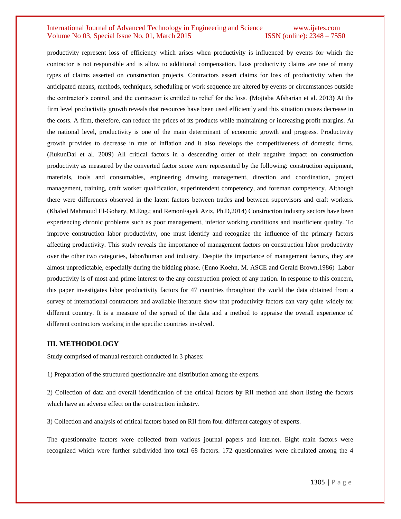productivity represent loss of efficiency which arises when productivity is influenced by events for which the contractor is not responsible and is allow to additional compensation. Loss productivity claims are one of many types of claims asserted on construction projects. Contractors assert claims for loss of productivity when the anticipated means, methods, techniques, scheduling or work sequence are altered by events or circumstances outside the contractor's control, and the contractor is entitled to relief for the loss. **(**Mojtaba Afsharian et al. 2013**)** At the firm level productivity growth reveals that resources have been used efficiently and this situation causes decrease in the costs. A firm, therefore, can reduce the prices of its products while maintaining or increasing profit margins. At the national level, productivity is one of the main determinant of economic growth and progress. Productivity growth provides to decrease in rate of inflation and it also develops the competitiveness of domestic firms. (JiukunDai et al. 2009) All critical factors in a descending order of their negative impact on construction productivity as measured by the converted factor score were represented by the following: construction equipment, materials, tools and consumables, engineering drawing management, direction and coordination, project management, training, craft worker qualification, superintendent competency, and foreman competency. Although there were differences observed in the latent factors between trades and between supervisors and craft workers. (Khaled Mahmoud El-Gohary, M.Eng.; and RemonFayek Aziz, Ph.D,2014) Construction industry sectors have been experiencing chronic problems such as poor management, inferior working conditions and insufficient quality. To improve construction labor productivity, one must identify and recognize the influence of the primary factors affecting productivity. This study reveals the importance of management factors on construction labor productivity over the other two categories, labor/human and industry. Despite the importance of management factors, they are almost unpredictable, especially during the bidding phase. (Enno Koehn, M. ASCE and Gerald Brown,1986) Labor productivity is of most and prime interest to the any construction project of any nation. In response to this concern, this paper investigates labor productivity factors for 47 countries throughout the world the data obtained from a survey of international contractors and available literature show that productivity factors can vary quite widely for different country. It is a measure of the spread of the data and a method to appraise the overall experience of different contractors working in the specific countries involved.

#### **III. METHODOLOGY**

Study comprised of manual research conducted in 3 phases:

1) Preparation of the structured questionnaire and distribution among the experts.

2) Collection of data and overall identification of the critical factors by RII method and short listing the factors which have an adverse effect on the construction industry.

3) Collection and analysis of critical factors based on RII from four different category of experts.

The questionnaire factors were collected from various journal papers and internet. Eight main factors were recognized which were further subdivided into total 68 factors. 172 questionnaires were circulated among the 4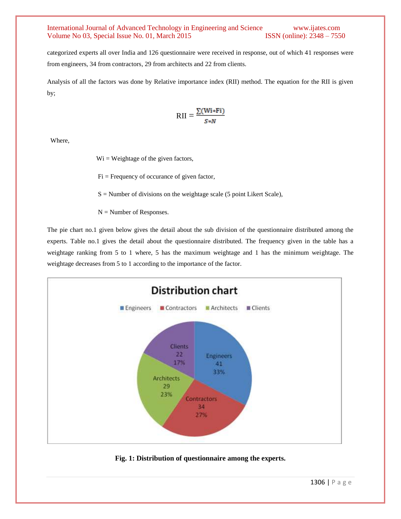categorized experts all over India and 126 questionnaire were received in response, out of which 41 responses were from engineers, 34 from contractors, 29 from architects and 22 from clients.

Analysis of all the factors was done by Relative importance index (RII) method. The equation for the RII is given by;

$$
RII = \frac{\sum (Wi * Fi)}{S * N}
$$

Where,

 $Wi = Weightage of the given factors,$ 

 $Fi$  = Frequency of occurance of given factor,

 $S =$  Number of divisions on the weightage scale (5 point Likert Scale),

 $N =$  Number of Responses.

The pie chart no.1 given below gives the detail about the sub division of the questionnaire distributed among the experts. Table no.1 gives the detail about the questionnaire distributed. The frequency given in the table has a weightage ranking from 5 to 1 where, 5 has the maximum weightage and 1 has the minimum weightage. The weightage decreases from 5 to 1 according to the importance of the factor.



**Fig. 1: Distribution of questionnaire among the experts.**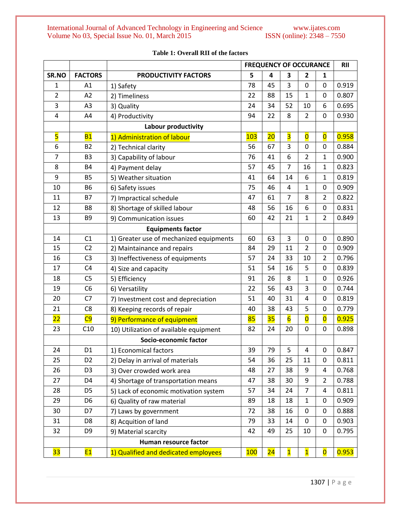|                 |                |                                         |     |    | <b>FREQUENCY OF OCCURANCE</b> | <b>RII</b>              |                         |       |
|-----------------|----------------|-----------------------------------------|-----|----|-------------------------------|-------------------------|-------------------------|-------|
| SR.NO           | <b>FACTORS</b> | <b>PRODUCTIVITY FACTORS</b>             | 5   | 4  | 3                             | $\overline{2}$          | 1                       |       |
| $\mathbf 1$     | A1             | 1) Safety                               | 78  | 45 | 3                             | $\mathbf 0$             | 0                       | 0.919 |
| $\overline{2}$  | A2             | 2) Timeliness                           | 22  | 88 | 15                            | $\mathbf{1}$            | 0                       | 0.807 |
| 3               | A3             | 3) Quality                              | 24  | 34 | 52                            | 10                      | 6                       | 0.695 |
| 4               | A4             | 4) Productivity                         | 94  | 22 | 8                             | $\overline{2}$          | 0                       | 0.930 |
|                 |                | Labour productivity                     |     |    |                               |                         |                         |       |
| 5               | <b>B1</b>      | 1) Administration of labour             | 103 | 20 | $\overline{\mathbf{3}}$       | $\overline{\mathbf{0}}$ | $\overline{\mathbf{0}}$ | 0.958 |
| 6               | <b>B2</b>      | 2) Technical clarity                    | 56  | 67 | 3                             | $\mathbf 0$             | $\mathbf 0$             | 0.884 |
| $\overline{7}$  | B <sub>3</sub> | 3) Capability of labour                 | 76  | 41 | 6                             | $\overline{2}$          | $\mathbf{1}$            | 0.900 |
| 8               | <b>B4</b>      | 4) Payment delay                        | 57  | 45 | 7                             | 16                      | $\mathbf{1}$            | 0.823 |
| 9               | <b>B5</b>      | 5) Weather situation                    | 41  | 64 | 14                            | 6                       | $\mathbf{1}$            | 0.819 |
| 10              | <b>B6</b>      | 6) Safety issues                        | 75  | 46 | 4                             | $\mathbf 1$             | 0                       | 0.909 |
| 11              | <b>B7</b>      | 7) Impractical schedule                 | 47  | 61 | $\overline{7}$                | 8                       | $\overline{2}$          | 0.822 |
| 12              | B <sub>8</sub> | 8) Shortage of skilled labour           | 48  | 56 | 16                            | 6                       | 0                       | 0.831 |
| 13              | B <sub>9</sub> | 9) Communication issues                 | 60  | 42 | 21                            | $\mathbf 1$             | $\overline{2}$          | 0.849 |
|                 |                | <b>Equipments factor</b>                |     |    |                               |                         |                         |       |
| 14              | C1             | 1) Greater use of mechanized equipments | 60  | 63 | 3                             | $\mathbf 0$             | 0                       | 0.890 |
| 15              | C <sub>2</sub> | 2) Maintainance and repairs             | 84  | 29 | 11                            | $\overline{2}$          | 0                       | 0.909 |
| 16              | C <sub>3</sub> | 3) Ineffectiveness of equipments        | 57  | 24 | 33                            | 10                      | $\overline{2}$          | 0.796 |
| 17              | C4             | 4) Size and capacity                    | 51  | 54 | 16                            | 5                       | 0                       | 0.839 |
| 18              | C <sub>5</sub> | 5) Efficiency                           | 91  | 26 | 8                             | 1                       | 0                       | 0.926 |
| 19              | C <sub>6</sub> | 6) Versatility                          | 22  | 56 | 43                            | 3                       | 0                       | 0.744 |
| 20              | C <sub>7</sub> | 7) Investment cost and depreciation     | 51  | 40 | 31                            | 4                       | 0                       | 0.819 |
| 21              | C <sub>8</sub> | 8) Keeping records of repair            | 40  | 38 | 43                            | 5                       | 0                       | 0.779 |
| $\overline{22}$ | C9             | 9) Performance of equipment             | 85  | 35 | $6\overline{6}$               | $\overline{\mathbf{0}}$ | $\overline{\mathbf{0}}$ | 0.925 |
| 23              | C10            | 10) Utilization of available equipment  | 82  | 24 | 20                            | $\mathbf 0$             | 0                       | 0.898 |
|                 |                | Socio-economic factor                   |     |    |                               |                         |                         |       |
| 24              | D <sub>1</sub> | 1) Economical factors                   | 39  | 79 | 5                             | 4                       | 0                       | 0.847 |
| 25              | D <sub>2</sub> | 2) Delay in arrival of materials        | 54  | 36 | 25                            | 11                      | 0                       | 0.811 |
| 26              | D <sub>3</sub> | 3) Over crowded work area               | 48  | 27 | 38                            | 9                       | 4                       | 0.768 |
| 27              | D <sub>4</sub> | 4) Shortage of transportation means     | 47  | 38 | 30                            | 9                       | $\overline{2}$          | 0.788 |
| 28              | D <sub>5</sub> | 5) Lack of economic motivation system   | 57  | 34 | 24                            | $\overline{7}$          | 4                       | 0.811 |
| 29              | D <sub>6</sub> | 6) Quality of raw material              | 89  | 18 | 18                            | $\mathbf 1$             | 0                       | 0.909 |
| 30              | D7             | 7) Laws by government                   | 72  | 38 | 16                            | 0                       | 0                       | 0.888 |
| 31              | D <sub>8</sub> | 8) Acquition of land                    | 79  | 33 | 14                            | $\pmb{0}$               | 0                       | 0.903 |
| 32              | D <sub>9</sub> | 9) Material scarcity                    | 42  | 49 | 25                            | 10                      | 0                       | 0.795 |
|                 |                | Human resource factor                   |     |    |                               |                         |                         |       |
| <b>33</b>       | <b>E1</b>      | 1) Qualified and dedicated employees    | 100 | 24 | $\mathbf{1}$                  | $\mathbf{1}$            | $\overline{\mathbf{0}}$ | 0.953 |

# **Table 1: Overall RII of the factors**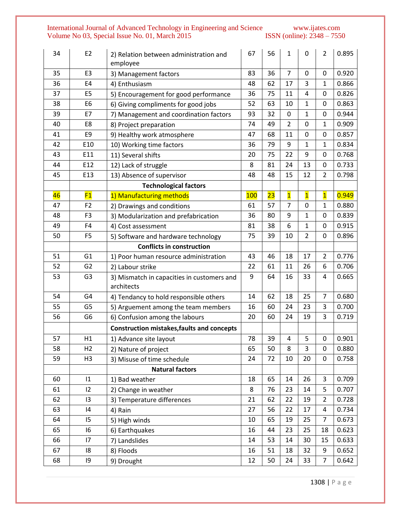| 34 | E <sub>2</sub> | 2) Relation between administration and<br>employee       | 67  | 56 | 1                       | $\mathbf 0$             | $\overline{2}$ | 0.895 |
|----|----------------|----------------------------------------------------------|-----|----|-------------------------|-------------------------|----------------|-------|
| 35 | E <sub>3</sub> | 3) Management factors                                    | 83  | 36 | $\overline{7}$          | $\mathbf 0$             | 0              | 0.920 |
| 36 | E4             | 4) Enthusiasm                                            | 48  | 62 | 17                      | 3                       | 1              | 0.866 |
| 37 | E <sub>5</sub> | 5) Encouragement for good performance                    | 36  | 75 | 11                      | $\overline{4}$          | 0              | 0.826 |
| 38 | E <sub>6</sub> | 6) Giving compliments for good jobs                      | 52  | 63 | 10                      | $\mathbf{1}$            | 0              | 0.863 |
| 39 | E7             | 7) Management and coordination factors                   | 93  | 32 | 0                       | $\mathbf 1$             | 0              | 0.944 |
| 40 | E8             | 8) Project preparation                                   | 74  | 49 | $\overline{2}$          | $\mathbf 0$             | $\mathbf{1}$   | 0.909 |
| 41 | E9             | 9) Healthy work atmosphere                               | 47  | 68 | 11                      | $\mathbf 0$             | 0              | 0.857 |
| 42 | E10            | 10) Working time factors                                 | 36  | 79 | 9                       | $\mathbf 1$             | $\mathbf{1}$   | 0.834 |
| 43 | E11            | 11) Several shifts                                       | 20  | 75 | 22                      | 9                       | 0              | 0.768 |
| 44 | E12            | 12) Lack of struggle                                     | 8   | 81 | 24                      | 13                      | 0              | 0.733 |
| 45 | E13            | 13) Absence of supervisor                                | 48  | 48 | 15                      | 12                      | $\overline{2}$ | 0.798 |
|    |                | <b>Technological factors</b>                             |     |    |                         |                         |                |       |
| 46 | F1             | 1) Manufacturing methods                                 | 100 | 23 | $\overline{\mathbf{1}}$ | $\overline{\mathbf{1}}$ | $\mathbf{1}$   | 0.949 |
| 47 | F <sub>2</sub> | 2) Drawings and conditions                               | 61  | 57 | $\overline{7}$          | $\mathbf 0$             | $\mathbf{1}$   | 0.880 |
| 48 | F <sub>3</sub> | 3) Modularization and prefabrication                     | 36  | 80 | 9                       | $\mathbf{1}$            | $\mathbf 0$    | 0.839 |
| 49 | F4             | 4) Cost assessment                                       | 81  | 38 | 6                       | 1                       | 0              | 0.915 |
| 50 | F <sub>5</sub> | 5) Software and hardware technology                      | 75  | 39 | 10                      | $\overline{2}$          | 0              | 0.896 |
|    |                | <b>Conflicts in construction</b>                         |     |    |                         |                         |                |       |
| 51 | G1             | 1) Poor human resource administration                    | 43  | 46 | 18                      | 17                      | $\overline{2}$ | 0.776 |
| 52 | G <sub>2</sub> | 2) Labour strike                                         | 22  | 61 | 11                      | 26                      | 6              | 0.706 |
| 53 | G <sub>3</sub> | 3) Mismatch in capacities in customers and<br>architects | 9   | 64 | 16                      | 33                      | 4              | 0.665 |
| 54 | G4             | 4) Tendancy to hold responsible others                   | 14  | 62 | 18                      | 25                      | $\overline{7}$ | 0.680 |
| 55 | G <sub>5</sub> | 5) Arguement among the team members                      | 16  | 60 | 24                      | 23                      | 3              | 0.700 |
| 56 | G <sub>6</sub> | 6) Confusion among the labours                           | 20  | 60 | 24                      | 19                      | $\overline{3}$ | 0.719 |
|    |                | <b>Construction mistakes, faults and concepts</b>        |     |    |                         |                         |                |       |
| 57 | H1             | 1) Advance site layout                                   | 78  | 39 | 4                       | 5                       | $\pmb{0}$      | 0.901 |
| 58 | H <sub>2</sub> | 2) Nature of project                                     | 65  | 50 | 8                       | 3                       | 0              | 0.880 |
| 59 | H3             | 3) Misuse of time schedule                               | 24  | 72 | 10                      | 20                      | $\mathbf 0$    | 0.758 |
|    |                | <b>Natural factors</b>                                   |     |    |                         |                         |                |       |
| 60 | 1              | 1) Bad weather                                           | 18  | 65 | 14                      | 26                      | 3              | 0.709 |
| 61 | 12             | 2) Change in weather                                     | 8   | 76 | 23                      | 14                      | 5              | 0.707 |
| 62 | 13             | 3) Temperature differences                               | 21  | 62 | 22                      | 19                      | $\overline{2}$ | 0.728 |
| 63 | 14             | 4) Rain                                                  | 27  | 56 | 22                      | 17                      | 4              | 0.734 |
| 64 | 15             | 5) High winds                                            | 10  | 65 | 19                      | 25                      | $\overline{7}$ | 0.673 |
| 65 | 16             | 6) Earthquakes                                           | 16  | 44 | 23                      | 25                      | 18             | 0.623 |
| 66 | 17             | 7) Landslides                                            | 14  | 53 | 14                      | 30                      | 15             | 0.633 |
| 67 | 18             | 8) Floods                                                | 16  | 51 | 18                      | 32                      | 9              | 0.652 |
| 68 | $ 9\rangle$    | 9) Drought                                               | 12  | 50 | 24                      | 33                      | $\overline{7}$ | 0.642 |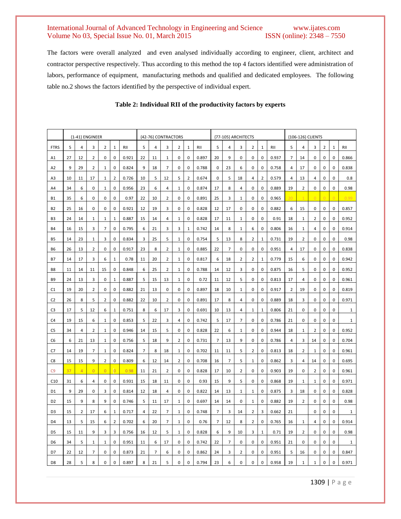The factors were overall analyzed and even analysed individually according to engineer, client, architect and contractor perspective respectively. Thus according to this method the top 4 factors identified were administration of labors, performance of equipment, manufacturing methods and qualified and dedicated employees. The following table no.2 shows the factors identified by the perspective of individual expert.

|                | {1-41} ENGINEER |                |                |                |                |       | {42-76} CONTRACTORS |                |                |              |                |       | {77-105} ARCHITECTS |                |                |                |              |       |                | {106-126} CLIENTS |              |   |             |              |  |  |
|----------------|-----------------|----------------|----------------|----------------|----------------|-------|---------------------|----------------|----------------|--------------|----------------|-------|---------------------|----------------|----------------|----------------|--------------|-------|----------------|-------------------|--------------|---|-------------|--------------|--|--|
| <b>FTRS</b>    | 5               | 4              | 3              | $\overline{2}$ | 1              | RII   | 5                   | 4              | 3              | 2            | $\mathbf{1}$   | RII   | 5                   | 4              | 3              | 2              | $1\,$        | RII   | 5              | 4                 | 3            | 2 | 1           | RII          |  |  |
| A1             | 27              | 12             | 2              | $\pmb{0}$      | 0              | 0.921 | 22                  | 11             | $\mathbf{1}$   | 0            | 0              | 0.897 | 20                  | 9              | 0              | 0              | 0            | 0.937 | $\overline{7}$ | 14                | 0            | 0 | 0           | 0.866        |  |  |
| A <sub>2</sub> | 9               | 29             | 2              | 1              | 0              | 0.824 | 9                   | 18             | $\overline{7}$ | 0            | 0              | 0.788 | 0                   | 23             | 6              | 0              | 0            | 0.758 | 4              | 17                | 0            | 0 | 0           | 0.838        |  |  |
| A3             | 10              | 11             | 17             | $\mathbf{1}$   | 2              | 0.726 | 10                  | 5              | 12             | 5            | $\overline{2}$ | 0.674 | 0                   | 5              | 18             | 4              | 2            | 0.579 | 4              | 13                | 4            | 0 | 0           | 0.8          |  |  |
| A4             | 34              | 6              | 0              | 1              | 0              | 0.956 | 23                  | 6              | 4              | 1            | 0              | 0.874 | 17                  | 8              | 4              | 0              | 0            | 0.889 | 19             | 2                 | 0            | 0 | 0           | 0.98         |  |  |
| <b>B1</b>      | 35              | 6              | 0              | $\pmb{0}$      | 0              | 0.97  | 22                  | 10             | $\overline{2}$ | 0            | 0              | 0.891 | 25                  | 3              | 1              | 0              | 0            | 0.965 | $\overline{2}$ |                   |              |   |             | 0.99         |  |  |
| <b>B2</b>      | 25              | 16             | $\mathbf 0$    | 0              | 0              | 0.921 | 12                  | 19             | 3              | 0            | 0              | 0.828 | 12                  | 17             | 0              | 0              | 0            | 0.882 | 6              | 15                | 0            | 0 | $\mathbf 0$ | 0.857        |  |  |
| B3             | 24              | 14             | $\mathbf{1}$   | $\mathbf{1}$   | 1              | 0.887 | 15                  | 14             | 4              | 1            | 0              | 0.828 | 17                  | 11             | 1              | 0              | 0            | 0.91  | 18             | 1                 | 2            | 0 | 0           | 0.952        |  |  |
| <b>B4</b>      | 16              | 15             | 3              | 7              | 0              | 0.795 | 6                   | 21             | 3              | 3            | $1\,$          | 0.742 | 14                  | 8              | 1              | 6              | 0            | 0.806 | 16             | $\mathbf{1}$      | 4            | 0 | 0           | 0.914        |  |  |
| <b>B5</b>      | 14              | 23             | $\mathbf{1}$   | 3              | 0              | 0.834 | 3                   | 25             | 5              | 1            | 0              | 0.754 | 5                   | 13             | 8              | 2              | $\mathbf{1}$ | 0.731 | 19             | 2                 | 0            | 0 | 0           | 0.98         |  |  |
| <b>B6</b>      | 26              | 13             | 2              | $\pmb{0}$      | 0              | 0.917 | 23                  | 8              | $\overline{2}$ | $\mathbf{1}$ | 0              | 0.885 | 22                  | $\overline{7}$ | 0              | 0              | 0            | 0.951 | 4              | 17                | 0            | 0 | 0           | 0.838        |  |  |
| <b>B7</b>      | 14              | 17             | 3              | 6              | 1              | 0.78  | 11                  | 20             | 2              | 1            | 0              | 0.817 | 6                   | 18             | 2              | $\overline{2}$ | $1\,$        | 0.779 | 15             | 6                 | 0            | 0 | 0           | 0.942        |  |  |
| B8             | 11              | 14             | 11             | 15             | 0              | 0.848 | 6                   | 25             | 2              | $\mathbf{1}$ | 0              | 0.788 | 14                  | 12             | 3              | 0              | 0            | 0.875 | 16             | 5                 | 0            | 0 | 0           | 0.952        |  |  |
| B <sub>9</sub> | 24              | 13             | 3              | 0              | 1              | 0.887 | 5                   | 15             | 13             | 1            | 0              | 0.72  | 11                  | 12             | 5              | 0              | 0            | 0.813 | 17             | 4                 | 0            | 0 | 0           | 0.961        |  |  |
| C1             | 19              | 20             | 2              | 0              | 0              | 0.882 | 21                  | 13             | 0              | 0            | 0              | 0.897 | 18                  | 10             | 1              | 0              | 0            | 0.917 | 2              | 19                | 0            | 0 | 0           | 0.819        |  |  |
| C <sub>2</sub> | 26              | 8              | 5              | $\overline{2}$ | 0              | 0.882 | 22                  | 10             | $\overline{2}$ | 0            | 0              | 0.891 | 17                  | 8              | 4              | 0              | 0            | 0.889 | 18             | 3                 | 0            | 0 | 0           | 0.971        |  |  |
| C3             | 17              | 5              | 12             | 6              | 1              | 0.751 | 8                   | 6              | 17             | 3            | 0              | 0.691 | 10                  | 13             | 4              | 1              | $\mathbf{1}$ | 0.806 | 21             | 0                 | 0            | 0 | 0           | $\mathbf 1$  |  |  |
| C4             | 19              | 15             | 6              | $\mathbf{1}$   | 0              | 0.853 | 5                   | 22             | 3              | 4            | 0              | 0.742 | 5                   | 17             | $\overline{7}$ | 0              | 0            | 0.786 | 21             | 0                 | 0            | 0 | 0           | $\mathbf{1}$ |  |  |
| C <sub>5</sub> | 34              | $\overline{4}$ | 2              | $\mathbf{1}$   | 0              | 0.946 | 14                  | 15             | 5              | 0            | 0              | 0.828 | 22                  | 6              | 1              | 0              | 0            | 0.944 | 18             | 1                 | 2            | 0 | 0           | 0.952        |  |  |
| C <sub>6</sub> | 6               | 21             | 13             | $\mathbf{1}$   | 0              | 0.756 | 5                   | 18             | 9              | 2            | 0              | 0.731 | $\overline{7}$      | 13             | 9              | 0              | 0            | 0.786 | 4              | 3                 | 14           | 0 | 0           | 0.704        |  |  |
| C7             | 14              | 19             | 7              | 1              | 0              | 0.824 | 7                   | 8              | 18             | 1            | 0              | 0.702 | 11                  | 11             | 5              | 2              | 0            | 0.813 | 18             | 2                 | 1            | 0 | 0           | 0.961        |  |  |
| C8             | 15              | 15             | 9              | 2              | 0              | 0.809 | 6                   | 12             | 14             | 2            | 0              | 0.708 | 16                  | 7              | 5              | $\mathbf{1}$   | 0            | 0.862 | 3              | 4                 | 14           | 0 | 0           | 0.695        |  |  |
| C <sub>9</sub> | 37              | $\overline{4}$ | $\overline{0}$ | $\overline{0}$ | $\overline{0}$ | 0.98  | 11                  | 21             | $\overline{2}$ | 0            | 0              | 0.828 | 17                  | 10             | 2              | 0              | 0            | 0.903 | 19             | 0                 | 2            | 0 | 0           | 0.961        |  |  |
| C10            | 31              | 6              | 4              | 0              | 0              | 0.931 | 15                  | 18             | 11             | 0            | 0              | 0.93  | 15                  | 9              | 5              | 0              | 0            | 0.868 | 19             | $\mathbf{1}$      | $\mathbf{1}$ | 0 | 0           | 0.971        |  |  |
| D1             | 9               | 29             | 0              | 3              | 0              | 0.814 | 12                  | 18             | 4              | 0            | 0              | 0.822 | 14                  | 13             | 1              | 1              | 0            | 0.875 | 3              | 18                | 0            | 0 | 0           | 0.828        |  |  |
| D <sub>2</sub> | 15              | 9              | 8              | 9              | 0              | 0.746 | 5                   | 11             | 17             | 1            | 0              | 0.697 | 14                  | 14             | 0              | 1              | 0            | 0.882 | 19             | 2                 | 0            | 0 | 0           | 0.98         |  |  |
| D <sub>3</sub> | 15              | $\overline{2}$ | 17             | 6              | $\mathbf{1}$   | 0.717 | 4                   | 22             | $\overline{7}$ | $\mathbf{1}$ | 0              | 0.748 | $\overline{7}$      | 3              | 14             | 2              | 3            | 0.662 | 21             |                   | 0            | 0 | 0           | $1\,$        |  |  |
| D <sub>4</sub> | 13              | 5              | 15             | 6              | 2              | 0.702 | 6                   | 20             | 7              | 1            | 0              | 0.76  | 7                   | 12             | 8              | 2              | 0            | 0.765 | 16             | 1                 | 4            | 0 | 0           | 0.914        |  |  |
| D <sub>5</sub> | 15              | 11             | 9              | 3              | 3              | 0.756 | 16                  | 12             | 5              | 1            | 0              | 0.828 | 6                   | 9              | 10             | 3              | 1            | 0.71  | 19             | 2                 | 0            | 0 | 0           | 0.98         |  |  |
| D <sub>6</sub> | 34              | 5              | 1              | 1              | 0              | 0.951 | 11                  | 6              | 17             | 0            | 0              | 0.742 | 22                  | 7              | 0              | 0              | 0            | 0.951 | 21             | 0                 | 0            | 0 | 0           | 1            |  |  |
| D7             | 22              | 12             | 7              | 0              | 0              | 0.873 | 21                  | $\overline{7}$ | 6              | 0            | 0              | 0.862 | 24                  | 3              | 2              | 0              | 0            | 0.951 | 5              | 16                | 0            | 0 | 0           | 0.847        |  |  |
| D <sub>8</sub> | 28              | 5              | 8              | 0              | $\mathbf 0$    | 0.897 | 8                   | 21             | 5              | 0            | 0              | 0.794 | 23                  | 6              | 0              | 0              | $\pmb{0}$    | 0.958 | 19             | $\mathbf{1}$      | 1            | 0 | 0           | 0.971        |  |  |

# **Table 2: Individual RII of the productivity factors by experts**

1309 | P a g e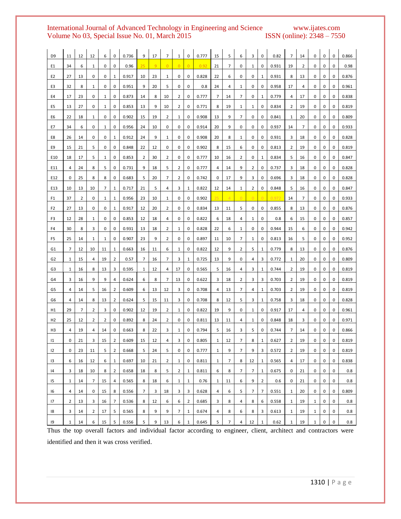# International Journal of Advanced Technology in Engineering and Science www.ijates.com<br>Volume No 03, Special Issue No. 01, March 2015 ISSN (online): 2348 – 7550 Volume No 03, Special Issue No. 01, March 2015

| D <sub>9</sub> | 11             | 12 | 12             | 6  | 0              | 0.736 | 9  | 17 | 7              | 1              | 0              | 0.777 | 15           | 5              | 6              | 3              | 0              | 0.82  | 7              | 14             | 0            | 0 | 0 | 0.866 |
|----------------|----------------|----|----------------|----|----------------|-------|----|----|----------------|----------------|----------------|-------|--------------|----------------|----------------|----------------|----------------|-------|----------------|----------------|--------------|---|---|-------|
| E1             | 34             | 6  | 1              | 0  | 0              | 0.96  | 25 | 9  | $\overline{0}$ | $\overline{0}$ | $\overline{0}$ | 0.92  | 21           | 7              | 0              | 1              | 0              | 0.931 | 19             | $\overline{2}$ | 0            | 0 | 0 | 0.98  |
| E <sub>2</sub> | 27             | 13 | 0              | 0  | 1              | 0.917 | 10 | 23 | 1              | 0              | 0              | 0.828 | 22           | 6              | 0              | 0              | 1              | 0.931 | 8              | 13             | 0            | 0 | 0 | 0.876 |
| E3             | 32             | 8  | 1              | 0  | 0              | 0.951 | 9  | 20 | 5              | 0              | 0              | 0.8   | 24           | 4              | $\mathbf{1}$   | 0              | 0              | 0.958 | 17             | 4              | 0            | 0 | 0 | 0.961 |
| E4             | 17             | 23 | 0              | 1  | 0              | 0.873 | 14 | 8  | 10             | 2              | 0              | 0.777 | 7            | 14             | 7              | 0              | 1              | 0.779 | 4              | 17             | 0            | 0 | 0 | 0.838 |
| E5             | 13             | 27 | 0              | 1  | 0              | 0.853 | 13 | 9  | 10             | 2              | 0              | 0.771 | 8            | 19             | 1              | 1              | 0              | 0.834 | 2              | 19             | 0            | 0 | 0 | 0.819 |
| E6             | 22             | 18 | 1              | 0  | 0              | 0.902 | 15 | 19 | 2              | $\mathbf{1}$   | 0              | 0.908 | 13           | 9              | 7              | 0              | 0              | 0.841 | 1              | 20             | 0            | 0 | 0 | 0.809 |
| E7             | 34             | 6  | 0              | 1  | 0              | 0.956 | 24 | 10 | 0              | 0              | 0              | 0.914 | 20           | 9              | 0              | 0              | 0              | 0.937 | 14             | 7              | 0            | 0 | 0 | 0.933 |
| E8             | 26             | 14 | 0              | 0  | 1              | 0.912 | 24 | 9  | 1              | 0              | 0              | 0.908 | 20           | 8              | $\mathbf{1}$   | 0              | 0              | 0.931 | 3              | 18             | 0            | 0 | 0 | 0.828 |
| E9             | 15             | 21 | 5              | 0  | 0              | 0.848 | 22 | 12 | 0              | 0              | 0              | 0.902 | 8            | 15             | 6              | 0              | 0              | 0.813 | 2              | 19             | 0            | 0 | 0 | 0.819 |
| E10            | 18             | 17 | 5              | 1  | 0              | 0.853 | 2  | 30 | 2              | 0              | 0              | 0.777 | 10           | 16             | 2              | 0              | 1              | 0.834 | 5              | 16             | 0            | 0 | 0 | 0.847 |
| E11            | 4              | 24 | 8              | 5  | 0              | 0.731 | 9  | 18 | 5              | 2              | 0              | 0.777 | 4            | 14             | 9              | 2              | 0              | 0.737 | 3              | 18             | 0            | 0 | 0 | 0.828 |
| E12            | 0              | 25 | 8              | 8  | 0              | 0.683 | 5  | 20 | 7              | 2              | 0              | 0.742 | 0            | 17             | 9              | 3              | 0              | 0.696 | 3              | 18             | 0            | 0 | 0 | 0.828 |
| E13            | 10             | 13 | 10             | 7  | 1              | 0.717 | 21 | 5  | 4              | 3              | $1\,$          | 0.822 | 12           | 14             | $\mathbf{1}$   | 2              | 0              | 0.848 | 5              | 16             | 0            | 0 | 0 | 0.847 |
| F1             | 37             | 2  | 0              | 1  | 1              | 0.956 | 23 | 10 | 1              | 0              | 0              | 0.902 | 25           | $\overline{4}$ | $\overline{0}$ | $\overline{0}$ | $\Omega$       | 0.972 | 14             | 7              | 0            | 0 | 0 | 0.933 |
| F <sub>2</sub> | 27             | 13 | 0              | 0  | 1              | 0.917 | 12 | 20 | 2              | 0              | 0              | 0.834 | 13           | 11             | 5              | 0              | 0              | 0.855 | 8              | 13             | 0            | 0 | 0 | 0.876 |
| F3             | 12             | 28 | 1              | 0  | 0              | 0.853 | 12 | 18 | 4              | 0              | 0              | 0.822 | 6            | 18             | 4              | 1              | 0              | 0.8   | 6              | 15             | 0            | 0 | 0 | 0.857 |
| F4             | 30             | 8  | 3              | 0  | 0              | 0.931 | 13 | 18 | 2              | 1              | 0              | 0.828 | 22           | 6              | 1              | 0              | 0              | 0.944 | 15             | 6              | 0            | 0 | 0 | 0.942 |
| F5             | 25             | 14 | 1              | 1  | 0              | 0.907 | 23 | 9  | 2              | 0              | 0              | 0.897 | 11           | 10             | 7              | 1              | 0              | 0.813 | 16             | 5              | 0            | 0 | 0 | 0.952 |
| G1             | 7              | 12 | 10             | 11 | 1              | 0.663 | 16 | 11 | 6              | 1              | 0              | 0.822 | 12           | 9              | 2              | 5              | 1              | 0.779 | 8              | 13             | 0            | 0 | 0 | 0.876 |
| G <sub>2</sub> | 1              | 15 | 4              | 19 | 2              | 0.57  | 7  | 16 | 7              | 3              | $\mathbf{1}$   | 0.725 | 13           | 9              | 0              | 4              | 3              | 0.772 | $\mathbf{1}$   | 20             | 0            | 0 | 0 | 0.809 |
| G3             | 1              | 16 | 8              | 13 | 3              | 0.595 | 1  | 12 | 4              | 17             | 0              | 0.565 | 5            | 16             | 4              | 3              | $\mathbf{1}$   | 0.744 | $\overline{2}$ | 19             | 0            | 0 | 0 | 0.819 |
| G4             | 3              | 16 | 9              | 9  | 4              | 0.624 | 6  | 8  | 7              | 13             | 0              | 0.622 | 3            | 18             | 2              | 3              | 3              | 0.703 | 2              | 19             | 0            | 0 | 0 | 0.819 |
| G5             | 4              | 14 | 5              | 16 | $\overline{2}$ | 0.609 | 6  | 13 | 12             | 3              | 0              | 0.708 | 4            | 13             | 7              | 4              | 1              | 0.703 | 2              | 19             | 0            | 0 | 0 | 0.819 |
| G6             | 4              | 14 | 8              | 13 | 2              | 0.624 | 5  | 15 | 11             | 3              | 0              | 0.708 | 8            | 12             | 5              | 3              | 1              | 0.758 | 3              | 18             | 0            | 0 | 0 | 0.828 |
| H1             | 29             | 7  | 2              | 3  | 0              | 0.902 | 12 | 19 | $\overline{2}$ | 1              | 0              | 0.822 | 19           | 9              | 0              | 1              | 0              | 0.917 | 17             | 4              | 0            | 0 | 0 | 0.961 |
| H <sub>2</sub> | 25             | 12 | 2              | 2  | 0              | 0.892 | 8  | 24 | 2              | 0              | 0              | 0.811 | 13           | 11             | 4              | 1              | 0              | 0.848 | 18             | 3              | 0            | 0 | 0 | 0.971 |
| H <sub>3</sub> | 4              | 19 | 4              | 14 | 0              | 0.663 | 8  | 22 | 3              | 1              | 0              | 0.794 | 5            | 16             | 3              | 5              | 0              | 0.744 | 7              | 14             | 0            | 0 | 0 | 0.866 |
| 1              | 0              | 21 | 3              | 15 | $\overline{2}$ | 0.609 | 15 | 12 | 4              | 3              | 0              | 0.805 | $\mathbf{1}$ | 12             | $\overline{7}$ | 8              | $\mathbf{1}$   | 0.627 | $\overline{2}$ | 19             | 0            | 0 | 0 | 0.819 |
| 12             | 0              | 23 | 11             | 5  | $\overline{2}$ | 0.668 | 5  | 24 | 5              | 0              | 0              | 0.777 | $\mathbf{1}$ | 9              | $\overline{7}$ | 9              | 3              | 0.572 | $\overline{2}$ | 19             | 0            | 0 | 0 | 0.819 |
| 13             | 6              | 16 | 12             | 6  | $\mathbf{1}$   | 0.697 | 10 | 21 | $\overline{2}$ | $\mathbf{1}$   | 0              | 0.811 | $\mathbf{1}$ | 7              | 8              | 12             | $\mathbf{1}$   | 0.565 | 4              | 17             | 0            | 0 | 0 | 0.838 |
| 14             | 3              | 18 | 10             | 8  | $\overline{2}$ | 0.658 | 18 | 8  | 5              | 2              | $\mathbf{1}$   | 0.811 | 6            | 8              | 7              | 7              | $\mathbf{1}$   | 0.675 | 0              | 21             | 0            | 0 | 0 | 0.8   |
| 15             | $\mathbf{1}$   | 14 | 7              | 15 | 4              | 0.565 | 8  | 18 | 6              | $\mathbf{1}$   | $\mathbf{1}$   | 0.76  | $\mathbf{1}$ | 11             | 6              | 9              | $\overline{2}$ | 0.6   | 0              | 21             | 0            | 0 | 0 | 0.8   |
| 16             | 4              | 14 | 0              | 15 | 8              | 0.556 | 7  | 3  | 18             | 3              | 3              | 0.628 | 4            | 6              | 5              | 7              | 7              | 0.551 | $\mathbf{1}$   | 20             | 0            | 0 | 0 | 0.809 |
| 17             | $\overline{2}$ | 13 | 3              | 16 | 7              | 0.536 | 8  | 12 | 6              | 6              | $\overline{2}$ | 0.685 | 3            | 8              | 4              | 8              | 6              | 0.558 | $\mathbf{1}$   | 19             | $\mathbf{1}$ | 0 | 0 | 0.8   |
| 18             | 3              | 14 | $\overline{2}$ | 17 | 5              | 0.565 | 8  | 9  | 9              | 7              | $\mathbf{1}$   | 0.674 | 4            | 8              | 6              | 8              | 3              | 0.613 | $\mathbf{1}$   | 19             | $\mathbf{1}$ | 0 | 0 | 0.8   |
| 19             | $\mathbf{1}$   | 14 | 6              | 15 | 5              | 0.556 | 5  | 9  | 13             | 6              | $\mathbf{1}$   | 0.645 | 5            | $\overline{7}$ | 4              | 12             | $\mathbf{1}$   | 0.62  | $\mathbf{1}$   | 19             | $\mathbf{1}$ | 0 | 0 | 0.8   |

Thus the top overall factors and individual factor according to engineer, client, architect and contractors were identified and then it was cross verified.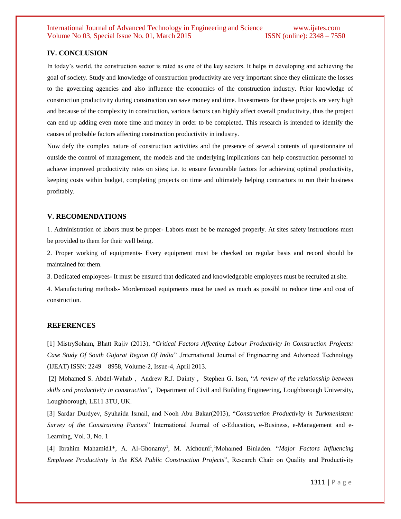#### **IV. CONCLUSION**

In today's world, the construction sector is rated as one of the key sectors. It helps in developing and achieving the goal of society. Study and knowledge of construction productivity are very important since they eliminate the losses to the governing agencies and also influence the economics of the construction industry. Prior knowledge of construction productivity during construction can save money and time. Investments for these projects are very high and because of the complexity in construction, various factors can highly affect overall productivity, thus the project can end up adding even more time and money in order to be completed. This research is intended to identify the causes of probable factors affecting construction productivity in industry.

Now defy the complex nature of construction activities and the presence of several contents of questionnaire of outside the control of management, the models and the underlying implications can help construction personnel to achieve improved productivity rates on sites; i.e. to ensure favourable factors for achieving optimal productivity, keeping costs within budget, completing projects on time and ultimately helping contractors to run their business profitably.

#### **V. RECOMENDATIONS**

1. Administration of labors must be proper- Labors must be be managed properly. At sites safety instructions must be provided to them for their well being.

2. Proper working of equipments- Every equipment must be checked on regular basis and record should be maintained for them.

3. Dedicated employees- It must be ensured that dedicated and knowledgeable employees must be recruited at site.

4. Manufacturing methods- Mordernized equipments must be used as much as possibl to reduce time and cost of construction.

#### **REFERENCES**

[1] MistrySoham, Bhatt Rajiv (2013), "*Critical Factors Affecting Labour Productivity In Construction Projects: Case Study Of South Gujarat Region Of India*" ,International Journal of Engineering and Advanced Technology (IJEAT) ISSN: 2249 – 8958, Volume-2, Issue-4, April 2013.

[2] Mohamed S. Abdel-Wahab , Andrew R.J. Dainty , Stephen G. Ison, "*A review of the relationship between skills and productivity in construction*"**,** Department of Civil and Building Engineering, Loughborough University, Loughborough, LE11 3TU, UK.

[3] Sardar Durdyev, Syuhaida Ismail, and Nooh Abu Bakar(2013), "*Construction Productivity in Turkmenistan: Survey of the Constraining Factors*" International Journal of e-Education, e-Business, e-Management and e-Learning, Vol. 3, No. 1

[4] Ibrahim Mahamid1\*, A. Al-Ghonamy<sup>1</sup>, M. Aichouni<sup>1</sup>,<sup>1</sup>Mohamed Binladen. "Major Factors Influencing *Employee Productivity in the KSA Public Construction Projects*", Research Chair on Quality and Productivity